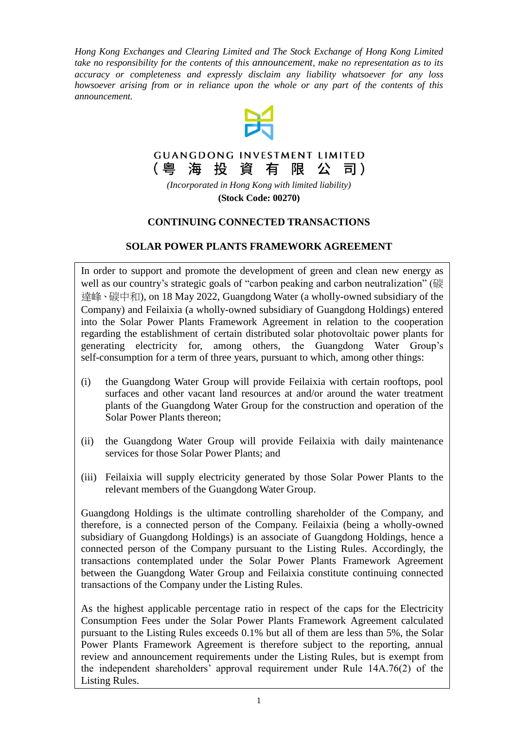*Hong Kong Exchanges and Clearing Limited and The Stock Exchange of Hong Kong Limited take no responsibility for the contents of this announcement, make no representation as to its accuracy or completeness and expressly disclaim any liability whatsoever for any loss howsoever arising from or in reliance upon the whole or any part of the contents of this announcement.*



#### **GUANGDONG INVESTMENT LIMITED** (粤 海 投 資 有 限 公 司)

*(Incorporated in Hong Kong with limited liability)* **(Stock Code: 00270)**

## **CONTINUING CONNECTED TRANSACTIONS**

# **SOLAR POWER PLANTS FRAMEWORK AGREEMENT**

In order to support and promote the development of green and clean new energy as well as our country's strategic goals of "carbon peaking and carbon neutralization" (碳 達峰、碳中和), on 18 May 2022, Guangdong Water (a wholly-owned subsidiary of the Company) and Feilaixia (a wholly-owned subsidiary of Guangdong Holdings) entered into the Solar Power Plants Framework Agreement in relation to the cooperation regarding the establishment of certain distributed solar photovoltaic power plants for generating electricity for, among others, the Guangdong Water Group's self-consumption for a term of three years, pursuant to which, among other things:

- (i) the Guangdong Water Group will provide Feilaixia with certain rooftops, pool surfaces and other vacant land resources at and/or around the water treatment plants of the Guangdong Water Group for the construction and operation of the Solar Power Plants thereon;
- (ii) the Guangdong Water Group will provide Feilaixia with daily maintenance services for those Solar Power Plants; and
- (iii) Feilaixia will supply electricity generated by those Solar Power Plants to the relevant members of the Guangdong Water Group.

Guangdong Holdings is the ultimate controlling shareholder of the Company, and therefore, is a connected person of the Company. Feilaixia (being a wholly-owned subsidiary of Guangdong Holdings) is an associate of Guangdong Holdings, hence a connected person of the Company pursuant to the Listing Rules. Accordingly, the transactions contemplated under the Solar Power Plants Framework Agreement between the Guangdong Water Group and Feilaixia constitute continuing connected transactions of the Company under the Listing Rules.

As the highest applicable percentage ratio in respect of the caps for the Electricity Consumption Fees under the Solar Power Plants Framework Agreement calculated pursuant to the Listing Rules exceeds 0.1% but all of them are less than 5%, the Solar Power Plants Framework Agreement is therefore subject to the reporting, annual review and announcement requirements under the Listing Rules, but is exempt from the independent shareholders' approval requirement under Rule 14A.76(2) of the Listing Rules.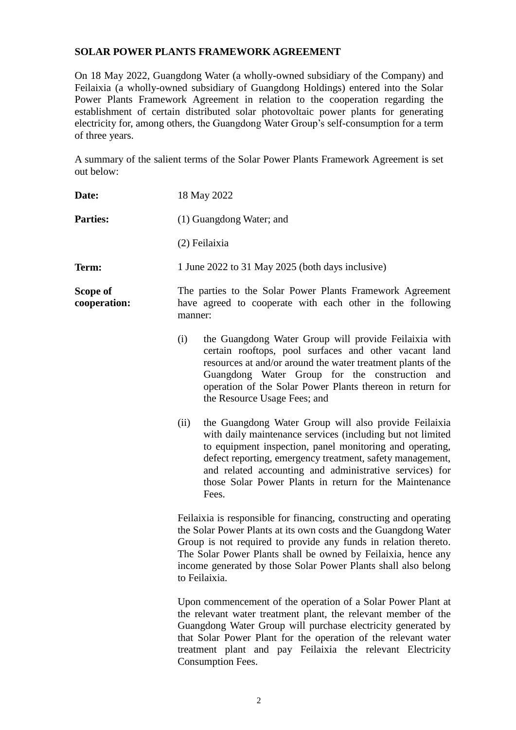### **SOLAR POWER PLANTS FRAMEWORK AGREEMENT**

On 18 May 2022, Guangdong Water (a wholly-owned subsidiary of the Company) and Feilaixia (a wholly-owned subsidiary of Guangdong Holdings) entered into the Solar Power Plants Framework Agreement in relation to the cooperation regarding the establishment of certain distributed solar photovoltaic power plants for generating electricity for, among others, the Guangdong Water Group's self-consumption for a term of three years.

A summary of the salient terms of the Solar Power Plants Framework Agreement is set out below:

| Date:                    | 18 May 2022                                                                                                                                                                                                                                                                                                                                                                        |  |
|--------------------------|------------------------------------------------------------------------------------------------------------------------------------------------------------------------------------------------------------------------------------------------------------------------------------------------------------------------------------------------------------------------------------|--|
| <b>Parties:</b>          | (1) Guangdong Water; and                                                                                                                                                                                                                                                                                                                                                           |  |
|                          | (2) Feilaixia                                                                                                                                                                                                                                                                                                                                                                      |  |
| Term:                    | 1 June 2022 to 31 May 2025 (both days inclusive)                                                                                                                                                                                                                                                                                                                                   |  |
| Scope of<br>cooperation: | The parties to the Solar Power Plants Framework Agreement<br>have agreed to cooperate with each other in the following<br>manner:                                                                                                                                                                                                                                                  |  |
|                          | (i)<br>the Guangdong Water Group will provide Feilaixia with<br>certain rooftops, pool surfaces and other vacant land<br>resources at and/or around the water treatment plants of the<br>Guangdong Water Group for the construction and<br>operation of the Solar Power Plants thereon in return for<br>the Resource Usage Fees; and                                               |  |
|                          | the Guangdong Water Group will also provide Feilaixia<br>(ii)<br>with daily maintenance services (including but not limited<br>to equipment inspection, panel monitoring and operating,<br>defect reporting, emergency treatment, safety management,<br>and related accounting and administrative services) for<br>those Solar Power Plants in return for the Maintenance<br>Fees. |  |
|                          | Feilaixia is responsible for financing, constructing and operating<br>the Solar Power Plants at its own costs and the Guangdong Water<br>Group is not required to provide any funds in relation thereto.<br>The Solar Power Plants shall be owned by Feilaixia, hence any<br>income generated by those Solar Power Plants shall also belong<br>to Feilaixia.                       |  |
|                          | Upon commencement of the operation of a Solar Power Plant at<br>the relevant water treatment plant, the relevant member of the<br>Guangdong Water Group will purchase electricity generated by<br>that Solar Power Plant for the operation of the relevant water<br>treatment plant and pay Feilaixia the relevant Electricity                                                     |  |

Consumption Fees.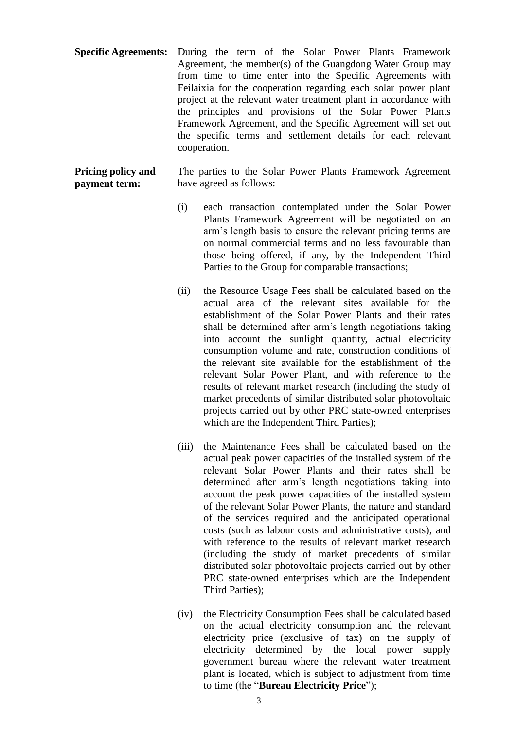**Specific Agreements:** During the term of the Solar Power Plants Framework Agreement, the member(s) of the Guangdong Water Group may from time to time enter into the Specific Agreements with Feilaixia for the cooperation regarding each solar power plant project at the relevant water treatment plant in accordance with the principles and provisions of the Solar Power Plants Framework Agreement, and the Specific Agreement will set out the specific terms and settlement details for each relevant cooperation.

**Pricing policy and payment term:** The parties to the Solar Power Plants Framework Agreement have agreed as follows:

- (i) each transaction contemplated under the Solar Power Plants Framework Agreement will be negotiated on an arm's length basis to ensure the relevant pricing terms are on normal commercial terms and no less favourable than those being offered, if any, by the Independent Third Parties to the Group for comparable transactions;
- (ii) the Resource Usage Fees shall be calculated based on the actual area of the relevant sites available for the establishment of the Solar Power Plants and their rates shall be determined after arm's length negotiations taking into account the sunlight quantity, actual electricity consumption volume and rate, construction conditions of the relevant site available for the establishment of the relevant Solar Power Plant, and with reference to the results of relevant market research (including the study of market precedents of similar distributed solar photovoltaic projects carried out by other PRC state-owned enterprises which are the Independent Third Parties);
- (iii) the Maintenance Fees shall be calculated based on the actual peak power capacities of the installed system of the relevant Solar Power Plants and their rates shall be determined after arm's length negotiations taking into account the peak power capacities of the installed system of the relevant Solar Power Plants, the nature and standard of the services required and the anticipated operational costs (such as labour costs and administrative costs), and with reference to the results of relevant market research (including the study of market precedents of similar distributed solar photovoltaic projects carried out by other PRC state-owned enterprises which are the Independent Third Parties);
- (iv) the Electricity Consumption Fees shall be calculated based on the actual electricity consumption and the relevant electricity price (exclusive of tax) on the supply of electricity determined by the local power supply government bureau where the relevant water treatment plant is located, which is subject to adjustment from time to time (the "**Bureau Electricity Price**");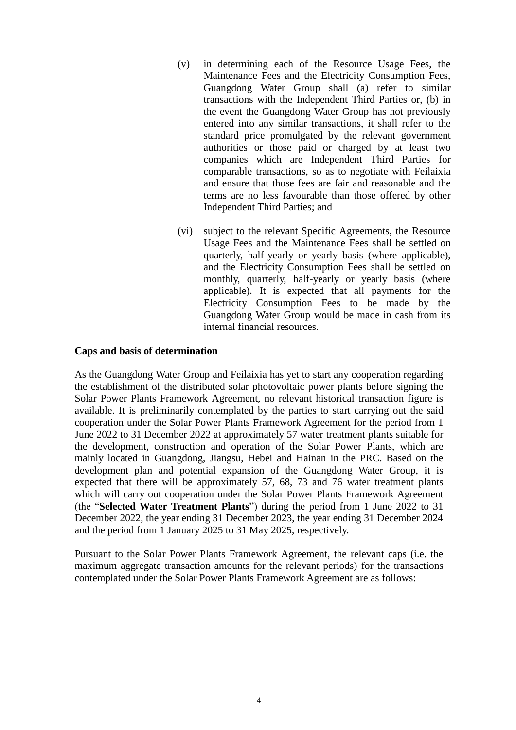- (v) in determining each of the Resource Usage Fees, the Maintenance Fees and the Electricity Consumption Fees, Guangdong Water Group shall (a) refer to similar transactions with the Independent Third Parties or, (b) in the event the Guangdong Water Group has not previously entered into any similar transactions, it shall refer to the standard price promulgated by the relevant government authorities or those paid or charged by at least two companies which are Independent Third Parties for comparable transactions, so as to negotiate with Feilaixia and ensure that those fees are fair and reasonable and the terms are no less favourable than those offered by other Independent Third Parties; and
- (vi) subject to the relevant Specific Agreements, the Resource Usage Fees and the Maintenance Fees shall be settled on quarterly, half-yearly or yearly basis (where applicable), and the Electricity Consumption Fees shall be settled on monthly, quarterly, half-yearly or yearly basis (where applicable). It is expected that all payments for the Electricity Consumption Fees to be made by the Guangdong Water Group would be made in cash from its internal financial resources.

#### **Caps and basis of determination**

As the Guangdong Water Group and Feilaixia has yet to start any cooperation regarding the establishment of the distributed solar photovoltaic power plants before signing the Solar Power Plants Framework Agreement, no relevant historical transaction figure is available. It is preliminarily contemplated by the parties to start carrying out the said cooperation under the Solar Power Plants Framework Agreement for the period from 1 June 2022 to 31 December 2022 at approximately 57 water treatment plants suitable for the development, construction and operation of the Solar Power Plants, which are mainly located in Guangdong, Jiangsu, Hebei and Hainan in the PRC. Based on the development plan and potential expansion of the Guangdong Water Group, it is expected that there will be approximately 57, 68, 73 and 76 water treatment plants which will carry out cooperation under the Solar Power Plants Framework Agreement (the "**Selected Water Treatment Plants**") during the period from 1 June 2022 to 31 December 2022, the year ending 31 December 2023, the year ending 31 December 2024 and the period from 1 January 2025 to 31 May 2025, respectively.

Pursuant to the Solar Power Plants Framework Agreement, the relevant caps (i.e. the maximum aggregate transaction amounts for the relevant periods) for the transactions contemplated under the Solar Power Plants Framework Agreement are as follows: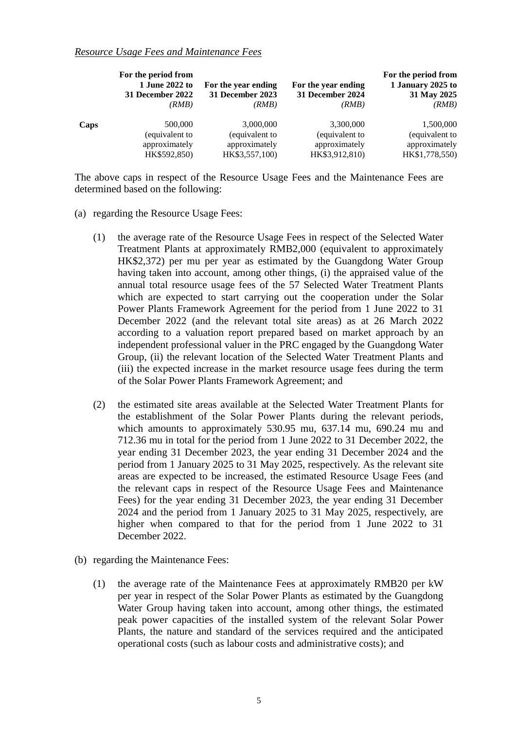#### *Resource Usage Fees and Maintenance Fees*

|      | For the period from<br>1 June 2022 to<br>31 December 2022<br>(RMB) | For the year ending<br>31 December 2023<br>(RMB) | For the year ending<br>31 December 2024<br>(RMB) | For the period from<br>1 January 2025 to<br>31 May 2025<br>(RMB) |
|------|--------------------------------------------------------------------|--------------------------------------------------|--------------------------------------------------|------------------------------------------------------------------|
| Caps | 500,000                                                            | 3,000,000                                        | 3,300,000                                        | 1,500,000                                                        |
|      | (equivalent to                                                     | (equivalent to                                   | (equivalent to                                   | (equivalent to                                                   |
|      | approximately                                                      | approximately                                    | approximately                                    | approximately                                                    |
|      | HK\$592,850)                                                       | HK\$3,557,100)                                   | HK\$3,912,810)                                   | HK\$1,778,550)                                                   |

The above caps in respect of the Resource Usage Fees and the Maintenance Fees are determined based on the following:

- (a) regarding the Resource Usage Fees:
	- (1) the average rate of the Resource Usage Fees in respect of the Selected Water Treatment Plants at approximately RMB2,000 (equivalent to approximately HK\$2,372) per mu per year as estimated by the Guangdong Water Group having taken into account, among other things, (i) the appraised value of the annual total resource usage fees of the 57 Selected Water Treatment Plants which are expected to start carrying out the cooperation under the Solar Power Plants Framework Agreement for the period from 1 June 2022 to 31 December 2022 (and the relevant total site areas) as at 26 March 2022 according to a valuation report prepared based on market approach by an independent professional valuer in the PRC engaged by the Guangdong Water Group, (ii) the relevant location of the Selected Water Treatment Plants and (iii) the expected increase in the market resource usage fees during the term of the Solar Power Plants Framework Agreement; and
	- (2) the estimated site areas available at the Selected Water Treatment Plants for the establishment of the Solar Power Plants during the relevant periods, which amounts to approximately 530.95 mu, 637.14 mu, 690.24 mu and 712.36 mu in total for the period from 1 June 2022 to 31 December 2022, the year ending 31 December 2023, the year ending 31 December 2024 and the period from 1 January 2025 to 31 May 2025, respectively. As the relevant site areas are expected to be increased, the estimated Resource Usage Fees (and the relevant caps in respect of the Resource Usage Fees and Maintenance Fees) for the year ending 31 December 2023, the year ending 31 December 2024 and the period from 1 January 2025 to 31 May 2025, respectively, are higher when compared to that for the period from 1 June 2022 to 31 December 2022.
- (b) regarding the Maintenance Fees:
	- (1) the average rate of the Maintenance Fees at approximately RMB20 per kW per year in respect of the Solar Power Plants as estimated by the Guangdong Water Group having taken into account, among other things, the estimated peak power capacities of the installed system of the relevant Solar Power Plants, the nature and standard of the services required and the anticipated operational costs (such as labour costs and administrative costs); and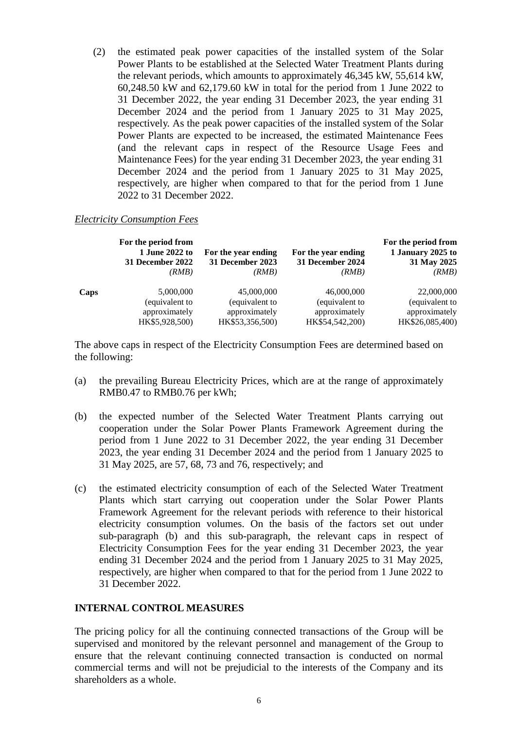(2) the estimated peak power capacities of the installed system of the Solar Power Plants to be established at the Selected Water Treatment Plants during the relevant periods, which amounts to approximately 46,345 kW, 55,614 kW, 60,248.50 kW and 62,179.60 kW in total for the period from 1 June 2022 to 31 December 2022, the year ending 31 December 2023, the year ending 31 December 2024 and the period from 1 January 2025 to 31 May 2025, respectively. As the peak power capacities of the installed system of the Solar Power Plants are expected to be increased, the estimated Maintenance Fees (and the relevant caps in respect of the Resource Usage Fees and Maintenance Fees) for the year ending 31 December 2023, the year ending 31 December 2024 and the period from 1 January 2025 to 31 May 2025, respectively, are higher when compared to that for the period from 1 June 2022 to 31 December 2022.

#### *Electricity Consumption Fees*

|      | For the period from<br>1 June 2022 to<br>31 December 2022<br>(RMB) | For the year ending<br>31 December 2023<br>(RMB) | For the year ending<br>31 December 2024<br>(RMB) | For the period from<br>1 January 2025 to<br>31 May 2025<br>(RMB) |
|------|--------------------------------------------------------------------|--------------------------------------------------|--------------------------------------------------|------------------------------------------------------------------|
| Caps | 5,000,000                                                          | 45,000,000                                       | 46,000,000                                       | 22,000,000                                                       |
|      | (equivalent to                                                     | (equivalent to                                   | (equivalent to                                   | (equivalent to                                                   |
|      | approximately                                                      | approximately                                    | approximately                                    | approximately                                                    |
|      | HK\$5,928,500)                                                     | HK\$53,356,500)                                  | HK\$54,542,200)                                  | HK\$26,085,400)                                                  |

The above caps in respect of the Electricity Consumption Fees are determined based on the following:

- (a) the prevailing Bureau Electricity Prices, which are at the range of approximately RMB0.47 to RMB0.76 per kWh;
- (b) the expected number of the Selected Water Treatment Plants carrying out cooperation under the Solar Power Plants Framework Agreement during the period from 1 June 2022 to 31 December 2022, the year ending 31 December 2023, the year ending 31 December 2024 and the period from 1 January 2025 to 31 May 2025, are 57, 68, 73 and 76, respectively; and
- (c) the estimated electricity consumption of each of the Selected Water Treatment Plants which start carrying out cooperation under the Solar Power Plants Framework Agreement for the relevant periods with reference to their historical electricity consumption volumes. On the basis of the factors set out under sub-paragraph (b) and this sub-paragraph, the relevant caps in respect of Electricity Consumption Fees for the year ending 31 December 2023, the year ending 31 December 2024 and the period from 1 January 2025 to 31 May 2025, respectively, are higher when compared to that for the period from 1 June 2022 to 31 December 2022.

#### **INTERNAL CONTROL MEASURES**

The pricing policy for all the continuing connected transactions of the Group will be supervised and monitored by the relevant personnel and management of the Group to ensure that the relevant continuing connected transaction is conducted on normal commercial terms and will not be prejudicial to the interests of the Company and its shareholders as a whole.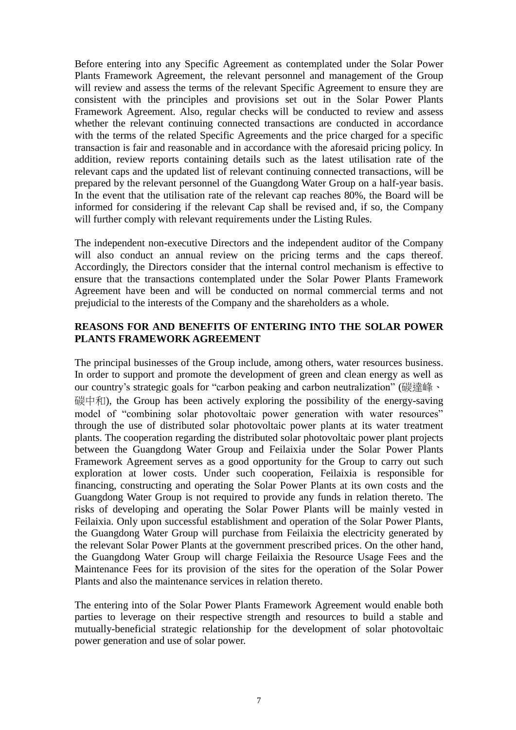Before entering into any Specific Agreement as contemplated under the Solar Power Plants Framework Agreement, the relevant personnel and management of the Group will review and assess the terms of the relevant Specific Agreement to ensure they are consistent with the principles and provisions set out in the Solar Power Plants Framework Agreement. Also, regular checks will be conducted to review and assess whether the relevant continuing connected transactions are conducted in accordance with the terms of the related Specific Agreements and the price charged for a specific transaction is fair and reasonable and in accordance with the aforesaid pricing policy. In addition, review reports containing details such as the latest utilisation rate of the relevant caps and the updated list of relevant continuing connected transactions, will be prepared by the relevant personnel of the Guangdong Water Group on a half-year basis. In the event that the utilisation rate of the relevant cap reaches 80%, the Board will be informed for considering if the relevant Cap shall be revised and, if so, the Company will further comply with relevant requirements under the Listing Rules.

The independent non-executive Directors and the independent auditor of the Company will also conduct an annual review on the pricing terms and the caps thereof. Accordingly, the Directors consider that the internal control mechanism is effective to ensure that the transactions contemplated under the Solar Power Plants Framework Agreement have been and will be conducted on normal commercial terms and not prejudicial to the interests of the Company and the shareholders as a whole.

## **REASONS FOR AND BENEFITS OF ENTERING INTO THE SOLAR POWER PLANTS FRAMEWORK AGREEMENT**

The principal businesses of the Group include, among others, water resources business. In order to support and promote the development of green and clean energy as well as our country's strategic goals for "carbon peaking and carbon neutralization" (碳達峰、 碳中和), the Group has been actively exploring the possibility of the energy-saving model of "combining solar photovoltaic power generation with water resources" through the use of distributed solar photovoltaic power plants at its water treatment plants. The cooperation regarding the distributed solar photovoltaic power plant projects between the Guangdong Water Group and Feilaixia under the Solar Power Plants Framework Agreement serves as a good opportunity for the Group to carry out such exploration at lower costs. Under such cooperation, Feilaixia is responsible for financing, constructing and operating the Solar Power Plants at its own costs and the Guangdong Water Group is not required to provide any funds in relation thereto. The risks of developing and operating the Solar Power Plants will be mainly vested in Feilaixia. Only upon successful establishment and operation of the Solar Power Plants, the Guangdong Water Group will purchase from Feilaixia the electricity generated by the relevant Solar Power Plants at the government prescribed prices. On the other hand, the Guangdong Water Group will charge Feilaixia the Resource Usage Fees and the Maintenance Fees for its provision of the sites for the operation of the Solar Power Plants and also the maintenance services in relation thereto.

The entering into of the Solar Power Plants Framework Agreement would enable both parties to leverage on their respective strength and resources to build a stable and mutually-beneficial strategic relationship for the development of solar photovoltaic power generation and use of solar power.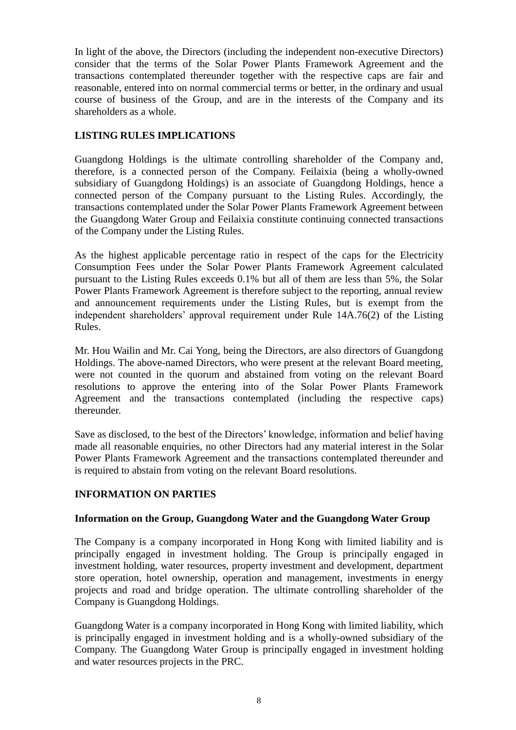In light of the above, the Directors (including the independent non-executive Directors) consider that the terms of the Solar Power Plants Framework Agreement and the transactions contemplated thereunder together with the respective caps are fair and reasonable, entered into on normal commercial terms or better, in the ordinary and usual course of business of the Group, and are in the interests of the Company and its shareholders as a whole.

# **LISTING RULES IMPLICATIONS**

Guangdong Holdings is the ultimate controlling shareholder of the Company and, therefore, is a connected person of the Company. Feilaixia (being a wholly-owned subsidiary of Guangdong Holdings) is an associate of Guangdong Holdings, hence a connected person of the Company pursuant to the Listing Rules. Accordingly, the transactions contemplated under the Solar Power Plants Framework Agreement between the Guangdong Water Group and Feilaixia constitute continuing connected transactions of the Company under the Listing Rules.

As the highest applicable percentage ratio in respect of the caps for the Electricity Consumption Fees under the Solar Power Plants Framework Agreement calculated pursuant to the Listing Rules exceeds 0.1% but all of them are less than 5%, the Solar Power Plants Framework Agreement is therefore subject to the reporting, annual review and announcement requirements under the Listing Rules, but is exempt from the independent shareholders' approval requirement under Rule 14A.76(2) of the Listing Rules.

Mr. Hou Wailin and Mr. Cai Yong, being the Directors, are also directors of Guangdong Holdings. The above-named Directors, who were present at the relevant Board meeting, were not counted in the quorum and abstained from voting on the relevant Board resolutions to approve the entering into of the Solar Power Plants Framework Agreement and the transactions contemplated (including the respective caps) thereunder.

Save as disclosed, to the best of the Directors' knowledge, information and belief having made all reasonable enquiries, no other Directors had any material interest in the Solar Power Plants Framework Agreement and the transactions contemplated thereunder and is required to abstain from voting on the relevant Board resolutions.

## **INFORMATION ON PARTIES**

#### **Information on the Group, Guangdong Water and the Guangdong Water Group**

The Company is a company incorporated in Hong Kong with limited liability and is principally engaged in investment holding. The Group is principally engaged in investment holding, water resources, property investment and development, department store operation, hotel ownership, operation and management, investments in energy projects and road and bridge operation. The ultimate controlling shareholder of the Company is Guangdong Holdings.

Guangdong Water is a company incorporated in Hong Kong with limited liability, which is principally engaged in investment holding and is a wholly-owned subsidiary of the Company. The Guangdong Water Group is principally engaged in investment holding and water resources projects in the PRC.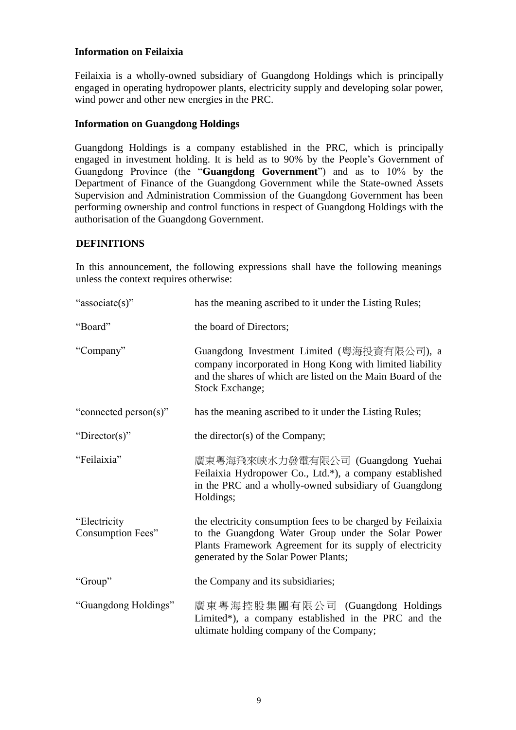## **Information on Feilaixia**

Feilaixia is a wholly-owned subsidiary of Guangdong Holdings which is principally engaged in operating hydropower plants, electricity supply and developing solar power, wind power and other new energies in the PRC.

## **Information on Guangdong Holdings**

Guangdong Holdings is a company established in the PRC, which is principally engaged in investment holding. It is held as to 90% by the People's Government of Guangdong Province (the "**Guangdong Government**") and as to 10% by the Department of Finance of the Guangdong Government while the State-owned Assets Supervision and Administration Commission of the Guangdong Government has been performing ownership and control functions in respect of Guangdong Holdings with the authorisation of the Guangdong Government.

## **DEFINITIONS**

In this announcement, the following expressions shall have the following meanings unless the context requires otherwise:

| "associate(s)"                           | has the meaning ascribed to it under the Listing Rules;                                                                                                                                                               |
|------------------------------------------|-----------------------------------------------------------------------------------------------------------------------------------------------------------------------------------------------------------------------|
| "Board"                                  | the board of Directors;                                                                                                                                                                                               |
| "Company"                                | Guangdong Investment Limited (粵海投資有限公司), a<br>company incorporated in Hong Kong with limited liability<br>and the shares of which are listed on the Main Board of the<br>Stock Exchange;                              |
| "connected person(s)"                    | has the meaning ascribed to it under the Listing Rules;                                                                                                                                                               |
| "Director(s)"                            | the director(s) of the Company;                                                                                                                                                                                       |
| "Feilaixia"                              | 廣東粵海飛來峽水力發電有限公司 (Guangdong Yuehai<br>Feilaixia Hydropower Co., Ltd.*), a company established<br>in the PRC and a wholly-owned subsidiary of Guangdong<br>Holdings;                                                    |
| "Electricity<br><b>Consumption Fees"</b> | the electricity consumption fees to be charged by Feilaixia<br>to the Guangdong Water Group under the Solar Power<br>Plants Framework Agreement for its supply of electricity<br>generated by the Solar Power Plants; |
| "Group"                                  | the Company and its subsidiaries;                                                                                                                                                                                     |
| "Guangdong Holdings"                     | 廣東粤海控股集團有限公司 (Guangdong Holdings<br>Limited*), a company established in the PRC and the<br>ultimate holding company of the Company;                                                                                   |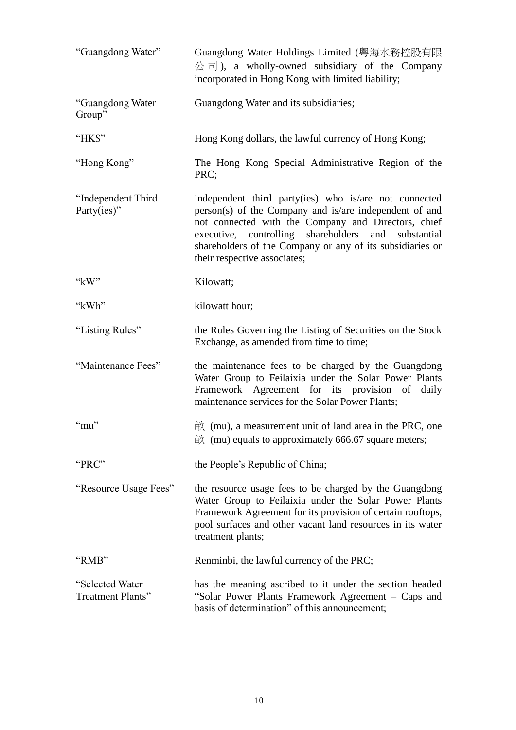| "Guangdong Water"                     | Guangdong Water Holdings Limited (粵海水務控股有限<br>$\hat{\triangle}$ $\overline{\square}$ ), a wholly-owned subsidiary of the Company<br>incorporated in Hong Kong with limited liability;                                                                                                                                         |
|---------------------------------------|-------------------------------------------------------------------------------------------------------------------------------------------------------------------------------------------------------------------------------------------------------------------------------------------------------------------------------|
| "Guangdong Water<br>Group"            | Guangdong Water and its subsidiaries;                                                                                                                                                                                                                                                                                         |
| "HK\$"                                | Hong Kong dollars, the lawful currency of Hong Kong;                                                                                                                                                                                                                                                                          |
| "Hong Kong"                           | The Hong Kong Special Administrative Region of the<br>PRC;                                                                                                                                                                                                                                                                    |
| "Independent Third<br>Party(ies)"     | independent third party(ies) who is/are not connected<br>person(s) of the Company and is/are independent of and<br>not connected with the Company and Directors, chief<br>executive, controlling shareholders<br>and substantial<br>shareholders of the Company or any of its subsidiaries or<br>their respective associates; |
| " $kW$ "                              | Kilowatt;                                                                                                                                                                                                                                                                                                                     |
| "kWh"                                 | kilowatt hour;                                                                                                                                                                                                                                                                                                                |
| "Listing Rules"                       | the Rules Governing the Listing of Securities on the Stock<br>Exchange, as amended from time to time;                                                                                                                                                                                                                         |
| "Maintenance Fees"                    | the maintenance fees to be charged by the Guangdong<br>Water Group to Feilaixia under the Solar Power Plants<br>Framework Agreement for its provision of daily<br>maintenance services for the Solar Power Plants;                                                                                                            |
| $\lq$ "mu"                            | $\dot{\mathbb{H}}$ (mu), a measurement unit of land area in the PRC, one<br>$\dot{\mathbb{E}}$ (mu) equals to approximately 666.67 square meters;                                                                                                                                                                             |
| "PRC"                                 | the People's Republic of China;                                                                                                                                                                                                                                                                                               |
| "Resource Usage Fees"                 | the resource usage fees to be charged by the Guangdong<br>Water Group to Feilaixia under the Solar Power Plants<br>Framework Agreement for its provision of certain rooftops,<br>pool surfaces and other vacant land resources in its water<br>treatment plants;                                                              |
| "RMB"                                 | Renminbi, the lawful currency of the PRC;                                                                                                                                                                                                                                                                                     |
| "Selected Water"<br>Treatment Plants" | has the meaning ascribed to it under the section headed<br>"Solar Power Plants Framework Agreement – Caps and<br>basis of determination" of this announcement;                                                                                                                                                                |